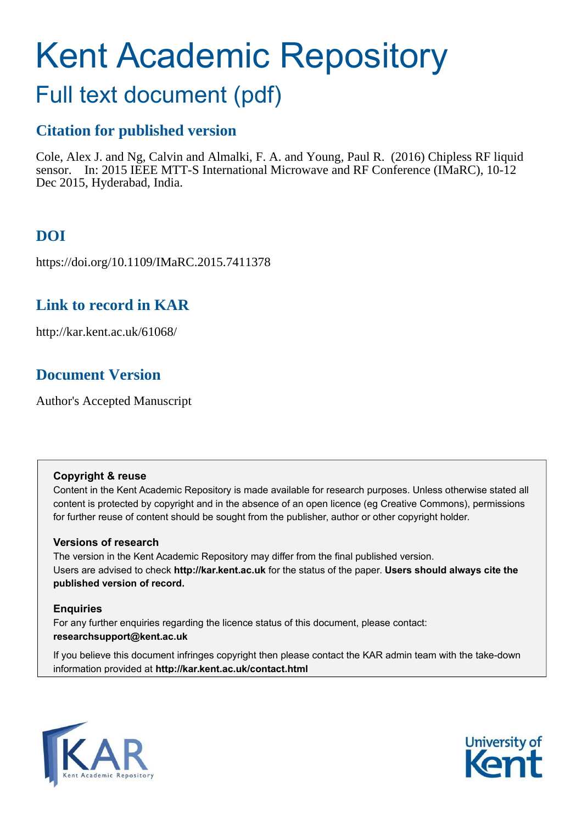# Kent Academic Repository

# Full text document (pdf)

## **Citation for published version**

Cole, Alex J. and Ng, Calvin and Almalki, F. A. and Young, Paul R. (2016) Chipless RF liquid sensor. In: 2015 IEEE MTT-S International Microwave and RF Conference (IMaRC), 10-12 Dec 2015, Hyderabad, India.

# **DOI**

https://doi.org/10.1109/IMaRC.2015.7411378

## **Link to record in KAR**

http://kar.kent.ac.uk/61068/

## **Document Version**

Author's Accepted Manuscript

### **Copyright & reuse**

Content in the Kent Academic Repository is made available for research purposes. Unless otherwise stated all content is protected by copyright and in the absence of an open licence (eg Creative Commons), permissions for further reuse of content should be sought from the publisher, author or other copyright holder.

### **Versions of research**

The version in the Kent Academic Repository may differ from the final published version. Users are advised to check **http://kar.kent.ac.uk** for the status of the paper. **Users should always cite the published version of record.**

### **Enquiries**

For any further enquiries regarding the licence status of this document, please contact: **researchsupport@kent.ac.uk**

If you believe this document infringes copyright then please contact the KAR admin team with the take-down information provided at **http://kar.kent.ac.uk/contact.html**



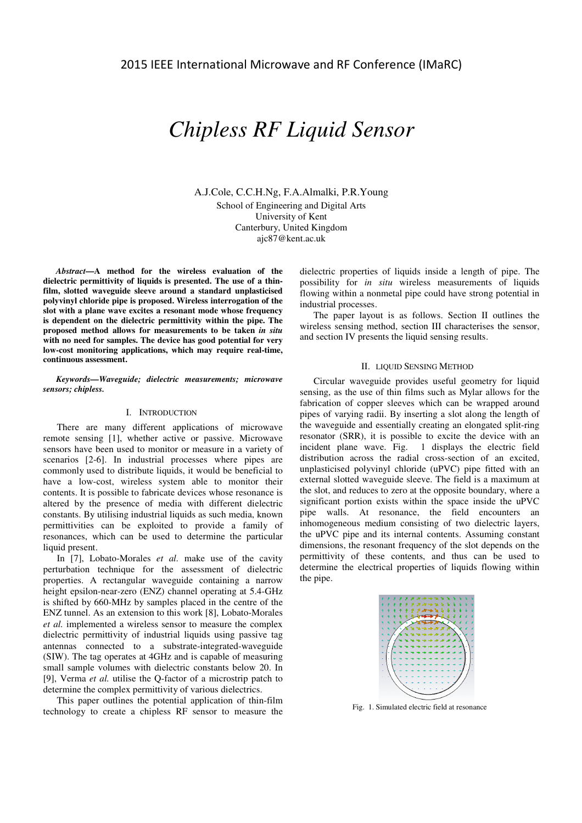# *Chipless RF Liquid Sensor*

A.J.Cole, C.C.H.Ng, F.A.Almalki, P.R.Young School of Engineering and Digital Arts University of Kent Canterbury, United Kingdom ajc87@kent.ac.uk

*Abstract***—A method for the wireless evaluation of the dielectric permittivity of liquids is presented. The use of a thinfilm, slotted waveguide sleeve around a standard unplasticised polyvinyl chloride pipe is proposed. Wireless interrogation of the slot with a plane wave excites a resonant mode whose frequency is dependent on the dielectric permittivity within the pipe. The proposed method allows for measurements to be taken** *in situ* **with no need for samples. The device has good potential for very low-cost monitoring applications, which may require real-time, continuous assessment.** 

### *Keywords—Waveguide; dielectric measurements; microwave sensors; chipless.*

### I. INTRODUCTION

There are many different applications of microwave remote sensing [1], whether active or passive. Microwave sensors have been used to monitor or measure in a variety of scenarios [2-6]. In industrial processes where pipes are commonly used to distribute liquids, it would be beneficial to have a low-cost, wireless system able to monitor their contents. It is possible to fabricate devices whose resonance is altered by the presence of media with different dielectric constants. By utilising industrial liquids as such media, known permittivities can be exploited to provide a family of resonances, which can be used to determine the particular liquid present.

In [7], Lobato-Morales *et al.* make use of the cavity perturbation technique for the assessment of dielectric properties. A rectangular waveguide containing a narrow height epsilon-near-zero (ENZ) channel operating at 5.4-GHz is shifted by 660-MHz by samples placed in the centre of the ENZ tunnel. As an extension to this work [8], Lobato-Morales *et al.* implemented a wireless sensor to measure the complex dielectric permittivity of industrial liquids using passive tag antennas connected to a substrate-integrated-waveguide (SIW). The tag operates at 4GHz and is capable of measuring small sample volumes with dielectric constants below 20. In [9], Verma *et al.* utilise the Q-factor of a microstrip patch to determine the complex permittivity of various dielectrics.

This paper outlines the potential application of thin-film technology to create a chipless RF sensor to measure the

dielectric properties of liquids inside a length of pipe. The possibility for *in situ* wireless measurements of liquids flowing within a nonmetal pipe could have strong potential in industrial processes.

The paper layout is as follows. Section II outlines the wireless sensing method, section III characterises the sensor, and section IV presents the liquid sensing results.

#### II. LIQUID SENSING METHOD

Circular waveguide provides useful geometry for liquid sensing, as the use of thin films such as Mylar allows for the fabrication of copper sleeves which can be wrapped around pipes of varying radii. By inserting a slot along the length of the waveguide and essentially creating an elongated split-ring resonator (SRR), it is possible to excite the device with an incident plane wave. Fig. 1 displays the electric field distribution across the radial cross-section of an excited, unplasticised polyvinyl chloride (uPVC) pipe fitted with an external slotted waveguide sleeve. The field is a maximum at the slot, and reduces to zero at the opposite boundary, where a significant portion exists within the space inside the uPVC pipe walls. At resonance, the field encounters an inhomogeneous medium consisting of two dielectric layers, the uPVC pipe and its internal contents. Assuming constant dimensions, the resonant frequency of the slot depends on the permittivity of these contents, and thus can be used to determine the electrical properties of liquids flowing within the pipe.



Fig. 1. Simulated electric field at resonance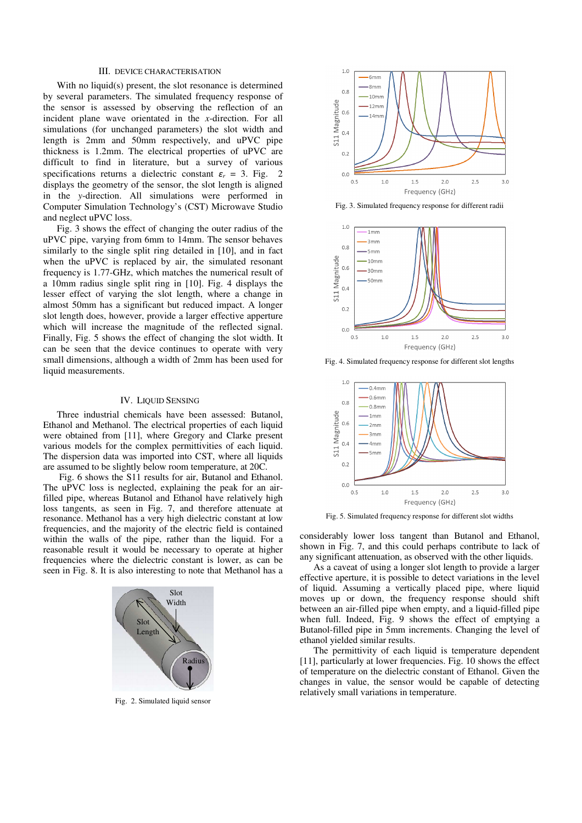### III. DEVICE CHARACTERISATION

With no liquid(s) present, the slot resonance is determined by several parameters. The simulated frequency response of the sensor is assessed by observing the reflection of an incident plane wave orientated in the *x*-direction. For all simulations (for unchanged parameters) the slot width and length is 2mm and 50mm respectively, and uPVC pipe thickness is 1.2mm. The electrical properties of uPVC are difficult to find in literature, but a survey of various specifications returns a dielectric constant  $\varepsilon_r = 3$ . Fig. 2 displays the geometry of the sensor, the slot length is aligned in the *y*-direction. All simulations were performed in Computer Simulation Technology's (CST) Microwave Studio and neglect uPVC loss.

Fig. 3 shows the effect of changing the outer radius of the uPVC pipe, varying from 6mm to 14mm. The sensor behaves similarly to the single split ring detailed in [10], and in fact when the uPVC is replaced by air, the simulated resonant frequency is 1.77-GHz, which matches the numerical result of a 10mm radius single split ring in [10]. Fig. 4 displays the lesser effect of varying the slot length, where a change in almost 50mm has a significant but reduced impact. A longer slot length does, however, provide a larger effective apperture which will increase the magnitude of the reflected signal. Finally, Fig. 5 shows the effect of changing the slot width. It can be seen that the device continues to operate with very small dimensions, although a width of 2mm has been used for liquid measurements.

### IV. LIQUID SENSING

Three industrial chemicals have been assessed: Butanol, Ethanol and Methanol. The electrical properties of each liquid were obtained from [11], where Gregory and Clarke present various models for the complex permittivities of each liquid. The dispersion data was imported into CST, where all liquids are assumed to be slightly below room temperature, at 20C.

 Fig. 6 shows the S11 results for air, Butanol and Ethanol. The uPVC loss is neglected, explaining the peak for an airfilled pipe, whereas Butanol and Ethanol have relatively high loss tangents, as seen in Fig. 7, and therefore attenuate at resonance. Methanol has a very high dielectric constant at low frequencies, and the majority of the electric field is contained within the walls of the pipe, rather than the liquid. For a reasonable result it would be necessary to operate at higher frequencies where the dielectric constant is lower, as can be seen in Fig. 8. It is also interesting to note that Methanol has a



Fig. 2. Simulated liquid sensor



Fig. 3. Simulated frequency response for different radii



Fig. 4. Simulated frequency response for different slot lengths



Fig. 5. Simulated frequency response for different slot widths

considerably lower loss tangent than Butanol and Ethanol, shown in Fig. 7, and this could perhaps contribute to lack of any significant attenuation, as observed with the other liquids.

As a caveat of using a longer slot length to provide a larger effective aperture, it is possible to detect variations in the level of liquid. Assuming a vertically placed pipe, where liquid moves up or down, the frequency response should shift between an air-filled pipe when empty, and a liquid-filled pipe when full. Indeed, Fig. 9 shows the effect of emptying a Butanol-filled pipe in 5mm increments. Changing the level of ethanol yielded similar results.

The permittivity of each liquid is temperature dependent [11], particularly at lower frequencies. Fig. 10 shows the effect of temperature on the dielectric constant of Ethanol. Given the changes in value, the sensor would be capable of detecting relatively small variations in temperature.